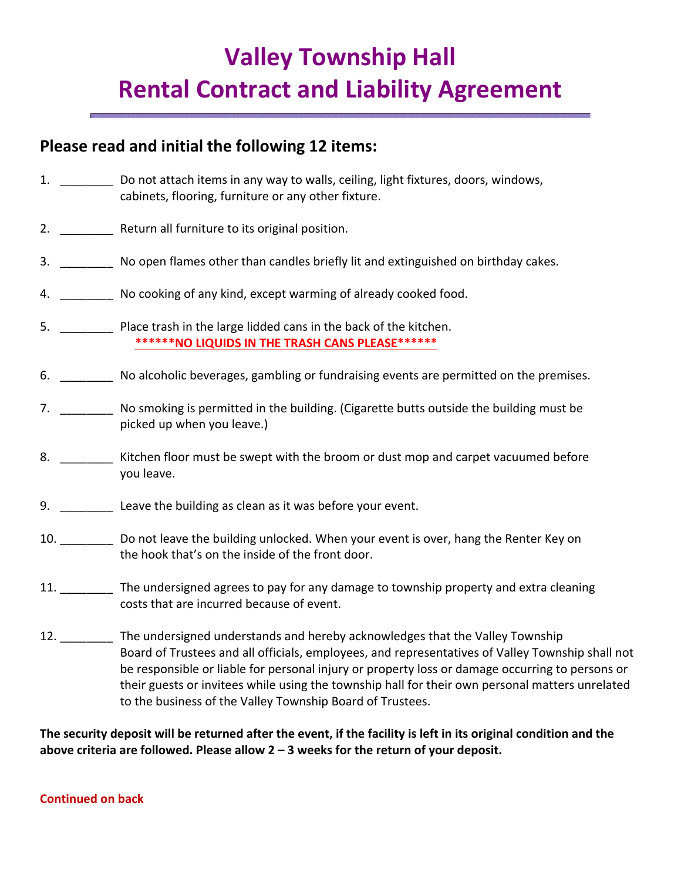# **Valley Township Hall Rental Contract and Liability Agreement**

# **Please read and initial the following 12 items:**

- 1. \_\_\_\_\_\_\_\_\_ Do not attach items in any way to walls, ceiling, light fixtures, doors, windows, cabinets, flooring, furniture or any other fixture.
- 2. \_\_\_\_\_\_\_\_ Return all furniture to its original position.
- 3. \_\_\_\_\_\_\_\_ No open flames other than candles briefly lit and extinguished on birthday cakes.
- 4. \_\_\_\_\_\_\_\_ No cooking of any kind, except warming of already cooked food.
- 5. \_\_\_\_\_\_\_\_ Place trash in the large lidded cans in the back of the kitchen. **\*\*\*\*\*\*NO LIQUIDS IN THE TRASH CANS PLEASE\*\*\*\*\*\***
- 6. \_\_\_\_\_\_\_\_ No alcoholic beverages, gambling or fundraising events are permitted on the premises.
- 7. \_\_\_\_\_\_\_\_ No smoking is permitted in the building. (Cigarette butts outside the building must be picked up when you leave.)
- 8. \_\_\_\_\_\_\_\_\_ Kitchen floor must be swept with the broom or dust mop and carpet vacuumed before you leave.
- 9. \_\_\_\_\_\_\_\_\_\_\_ Leave the building as clean as it was before your event.
- 10. \_\_\_\_\_\_\_\_ Do not leave the building unlocked. When your event is over, hang the Renter Key on the hook that's on the inside of the front door.
- 11. The undersigned agrees to pay for any damage to township property and extra cleaning costs that are incurred because of event.
- 12. The undersigned understands and hereby acknowledges that the Valley Township Board of Trustees and all officials, employees, and representatives of Valley Township shall not be responsible or liable for personal injury or property loss or damage occurring to persons or their guests or invitees while using the township hall for their own personal matters unrelated to the business of the Valley Township Board of Trustees.

**The security deposit will be returned after the event, if the facility is left in its original condition and the above criteria are followed. Please allow 2 – 3 weeks for the return of your deposit.** 

#### **Continued on back**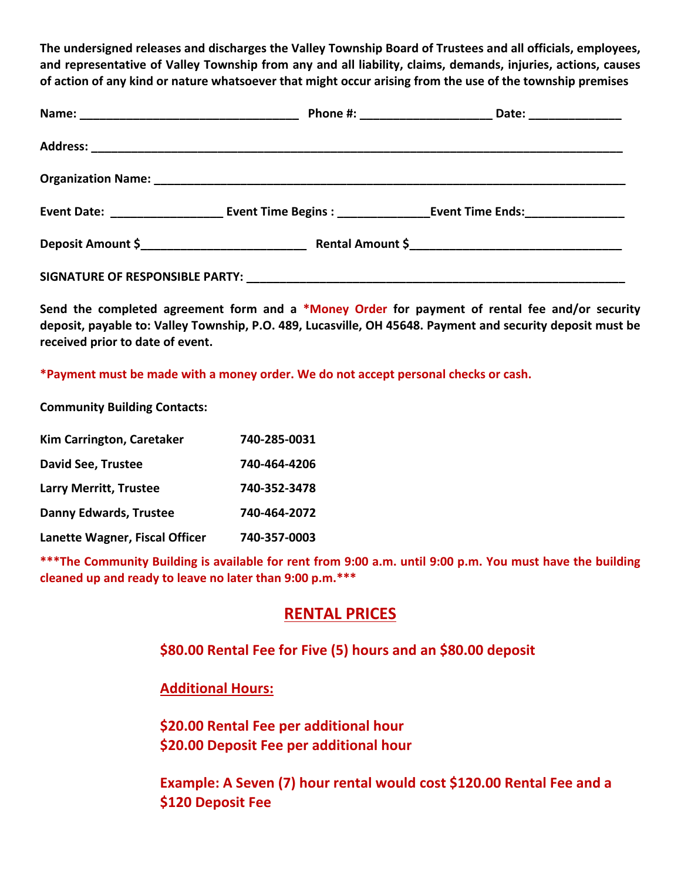**The undersigned releases and discharges the Valley Township Board of Trustees and all officials, employees, and representative of Valley Township from any and all liability, claims, demands, injuries, actions, causes of action of any kind or nature whatsoever that might occur arising from the use of the township premises** 

**Send the completed agreement form and a \*Money Order for payment of rental fee and/or security deposit, payable to: Valley Township, P.O. 489, Lucasville, OH 45648. Payment and security deposit must be received prior to date of event.** 

**\*Payment must be made with a money order. We do not accept personal checks or cash.** 

**Community Building Contacts:** 

| Kim Carrington, Caretaker      | 740-285-0031 |
|--------------------------------|--------------|
| <b>David See, Trustee</b>      | 740-464-4206 |
| <b>Larry Merritt, Trustee</b>  | 740-352-3478 |
| <b>Danny Edwards, Trustee</b>  | 740-464-2072 |
| Lanette Wagner, Fiscal Officer | 740-357-0003 |

**\*\*\*The Community Building is available for rent from 9:00 a.m. until 9:00 p.m. You must have the building cleaned up and ready to leave no later than 9:00 p.m.\*\*\*** 

## **RENTAL PRICES**

### **\$80.00 Rental Fee for Five (5) hours and an \$80.00 deposit**

### **Additional Hours:**

**\$20.00 Rental Fee per additional hour \$20.00 Deposit Fee per additional hour** 

**Example: A Seven (7) hour rental would cost \$120.00 Rental Fee and a \$120 Deposit Fee**